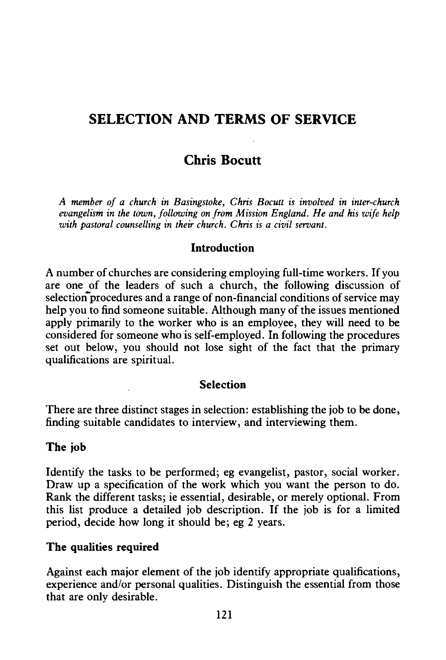# **SELECTION AND TERMS OF SERVICE**

# **Chris Bocutt**

*A member of a church in Basingstoke, Chris Bocutt is involved in inter-church evangelism in the town, following on from Mission England. He and his wife help with pastoral counselling in their church. Chris is a civil servant.* 

#### **Introduction**

A number of churches are considering employing full-time workers. If you are one of the leaders of such a church, the following discussion of selection procedures and a range of non-financial conditions of service may help you to find someone suitable. Although many of the issues mentioned apply primarily to the worker who is an employee, they will need to be considered for someone who is self-employed. In following the procedures set out below, you should not lose sight of the fact that the primary qualifications are spiritual.

#### **Selection**

There are three distinct stages in selection: establishing the job to be done, finding suitable candidates to interview, and interviewing them.

#### **The job**

Identify the tasks to be performed; eg evangelist, pastor, social worker. Draw up a specification of the work which you want the person to do. Rank the different tasks; ie essential, desirable, or merely optional. From this list produce a detailed job description. If the job is for a limited period, decide how long it should be; eg 2 years.

#### **The qualities required**

Against each major element of the job identify appropriate qualifications, experience and/or personal qualities. Distinguish the essential from those that are only desirable.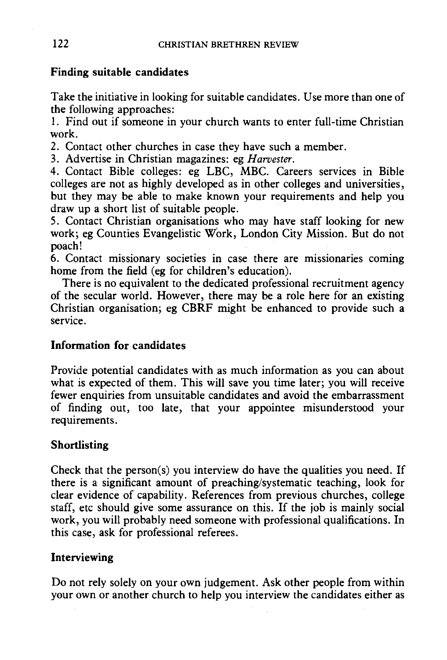### Finding suitable candidates

Take the initiative in looking for suitable candidates. Use more than one of the following approaches:

I. Find out if someone in your church wants to enter full-time Christian work.

2. Contact other churches in case they have such a member.

3. Advertise in Christian magazines: eg *Harvester.* 

4. Contact Bible colleges: eg LBC, MBC. Careers services in Bible colleges are not as highly developed as in other colleges and universities, but they may be able to make known your requirements and help you draw up a short list of suitable people.

5. Contact Christian organisations who may have staff looking for new work; eg Counties Evangelistic Work, London City Mission. But do not poach!

6. Contact missionary societies in case there are missionaries coming home from the field (eg for children's education).

There is no equivalent to the dedicated professional recruitment agency of the secular world. However, there may be a role here for an existing Christian organisation; eg CBRF might be enhanced to provide such a service.

### Information for candidates

Provide potential candidates with as much information as you can about what is expected of them. This will save you time later; you will receive fewer enquiries from unsuitable candidates and avoid the embarrassment of finding out, too late, that your appointee misunderstood your requirements.

### Shortlisting

Check that the person(s) you interview do have the qualities you need. If there is a significant amount of preaching/systematic teaching, look for clear evidence of capability. References from previous churches, college staff, etc should give some assurance on this. If the job is mainly social work, you will probably need someone with professional qualifications. In this case, ask for professional referees.

### Interviewing

Do not rely solely on your own judgement. Ask other people from within your own or another church to help you interview the candidates either as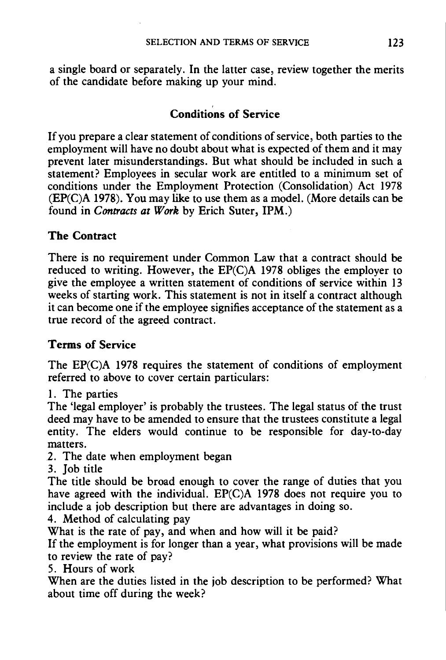a single board or separately. In the latter case, review together the merits of the candidate before making up your mind.

# Conditions of Service

If you prepare a clear statement of conditions of service, both parties to the employment will have no doubt about what is expected of them and it may prevent later misunderstandings. But what should be included in such a statement? Employees in secular work are entitled to a minimum set of conditions under the Employment Protection (Consolidation) Act 1978 (EP(C)A 1978). You may like to use them as a model. (More details can be found in *Contracts at Work* by Erich Suter, IPM.)

## The Contract

There is no requirement under Common Law that a contract should be reduced to writing. However, the EP(C)A 1978 obliges the employer to give the employee a written statement of conditions of service within 13 weeks of starting work. This statement is not in itself a contract although it can become one if the employee signifies acceptance of the statement as a true record of the agreed contract.

## Terms of Service

The EP(C)A 1978 requires the statement of conditions of employment referred to above to cover certain particulars:

1. The parties

The 'legal employer' is probably the trustees. The legal status of the trust deed may have to be amended to ensure that the trustees constitute a legal entity. The elders would continue to be responsible for day-to-day matters.

- 2. The date when employment began
- 3. Job title

The title should be broad enough to cover the range of duties that you have agreed with the individual. EP(C)A 1978 does not require you to include a job description but there are advantages in doing so.

4. Method of calculating pay

What is the rate of pay, and when and how will it be paid?

If the employment is for longer than a year, what provisions will be made to review the rate of pay?

5. Hours of work

When are the duties listed in the job description to be performed? What about time off during the week?